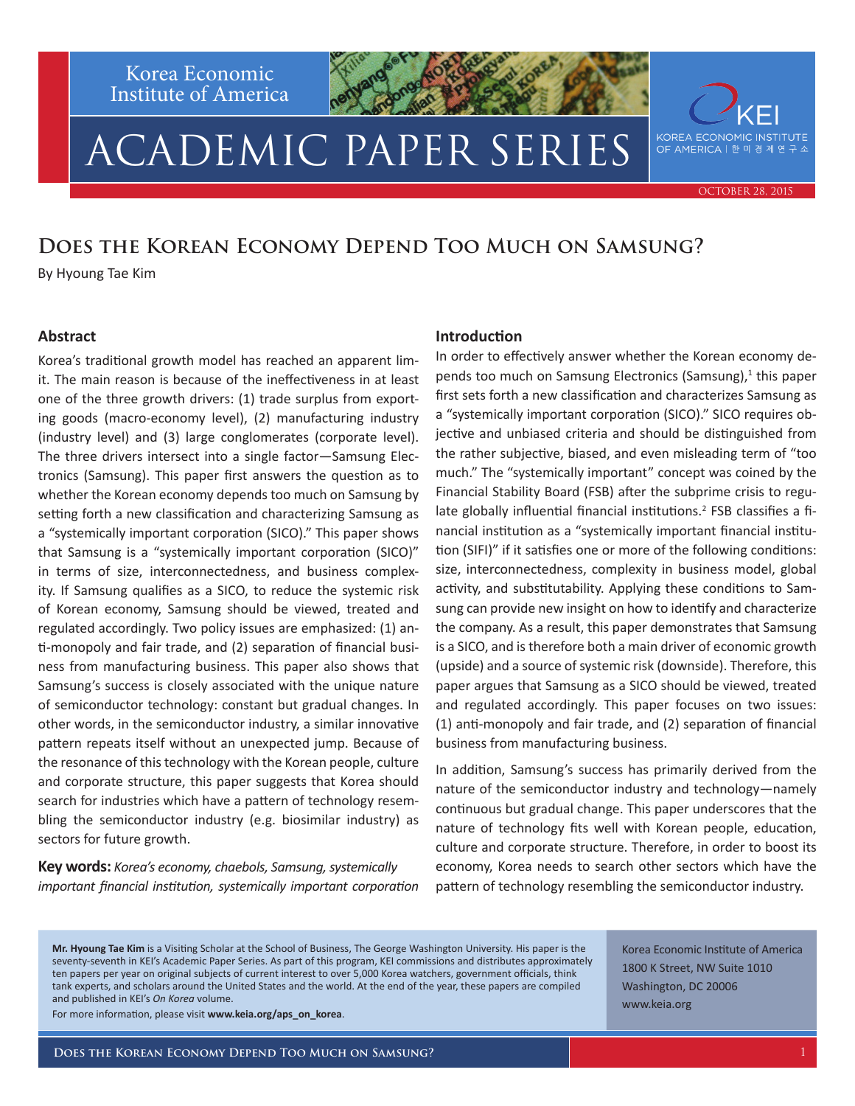Korea Economic Institute of America

# ACADEMIC PAPER SERIES

**KOREA ECONOMIC INSTITUTE** OF AMERICA | 한 미 경 제 연 구 소

October 28, 2015

### **Does the Korean Economy Depend Too Much on Samsung?**

By Hyoung Tae Kim

### **Abstract**

Korea's traditional growth model has reached an apparent limit. The main reason is because of the ineffectiveness in at least one of the three growth drivers: (1) trade surplus from exporting goods (macro-economy level), (2) manufacturing industry (industry level) and (3) large conglomerates (corporate level). The three drivers intersect into a single factor—Samsung Electronics (Samsung). This paper first answers the question as to whether the Korean economy depends too much on Samsung by setting forth a new classification and characterizing Samsung as a "systemically important corporation (SICO)." This paper shows that Samsung is a "systemically important corporation (SICO)" in terms of size, interconnectedness, and business complexity. If Samsung qualifies as a SICO, to reduce the systemic risk of Korean economy, Samsung should be viewed, treated and regulated accordingly. Two policy issues are emphasized: (1) anti-monopoly and fair trade, and (2) separation of financial business from manufacturing business. This paper also shows that Samsung's success is closely associated with the unique nature of semiconductor technology: constant but gradual changes. In other words, in the semiconductor industry, a similar innovative pattern repeats itself without an unexpected jump. Because of the resonance of this technology with the Korean people, culture and corporate structure, this paper suggests that Korea should search for industries which have a pattern of technology resembling the semiconductor industry (e.g. biosimilar industry) as sectors for future growth.

**Key words:** *Korea's economy, chaebols, Samsung, systemically important financial institution, systemically important corporation* 

### **Introduction**

In order to effectively answer whether the Korean economy depends too much on Samsung Electronics (Samsung),<sup>1</sup> this paper first sets forth a new classification and characterizes Samsung as a "systemically important corporation (SICO)." SICO requires objective and unbiased criteria and should be distinguished from the rather subjective, biased, and even misleading term of "too much." The "systemically important" concept was coined by the Financial Stability Board (FSB) after the subprime crisis to regulate globally influential financial institutions.<sup>2</sup> FSB classifies a financial institution as a "systemically important financial institution (SIFI)" if it satisfies one or more of the following conditions: size, interconnectedness, complexity in business model, global activity, and substitutability. Applying these conditions to Samsung can provide new insight on how to identify and characterize the company. As a result, this paper demonstrates that Samsung is a SICO, and is therefore both a main driver of economic growth (upside) and a source of systemic risk (downside). Therefore, this paper argues that Samsung as a SICO should be viewed, treated and regulated accordingly. This paper focuses on two issues: (1) anti-monopoly and fair trade, and (2) separation of financial business from manufacturing business.

In addition, Samsung's success has primarily derived from the nature of the semiconductor industry and technology—namely continuous but gradual change. This paper underscores that the nature of technology fits well with Korean people, education, culture and corporate structure. Therefore, in order to boost its economy, Korea needs to search other sectors which have the pattern of technology resembling the semiconductor industry.

**Mr. Hyoung Tae Kim** is a Visiting Scholar at the School of Business, The George Washington University. His paper is the seventy-seventh in KEI's Academic Paper Series. As part of this program, KEI commissions and distributes approximately ten papers per year on original subjects of current interest to over 5,000 Korea watchers, government officials, think tank experts, and scholars around the United States and the world. At the end of the year, these papers are compiled and published in KEI's *On Korea* volume.

1800 K Street, NW Suite 1010 Washington, DC 20006 www.keia.org

Korea Economic Institute of America

For more information, please visit **www.keia.org/aps\_on\_korea**.

**Does the Korean Economy Depend Too Much on Samsung?**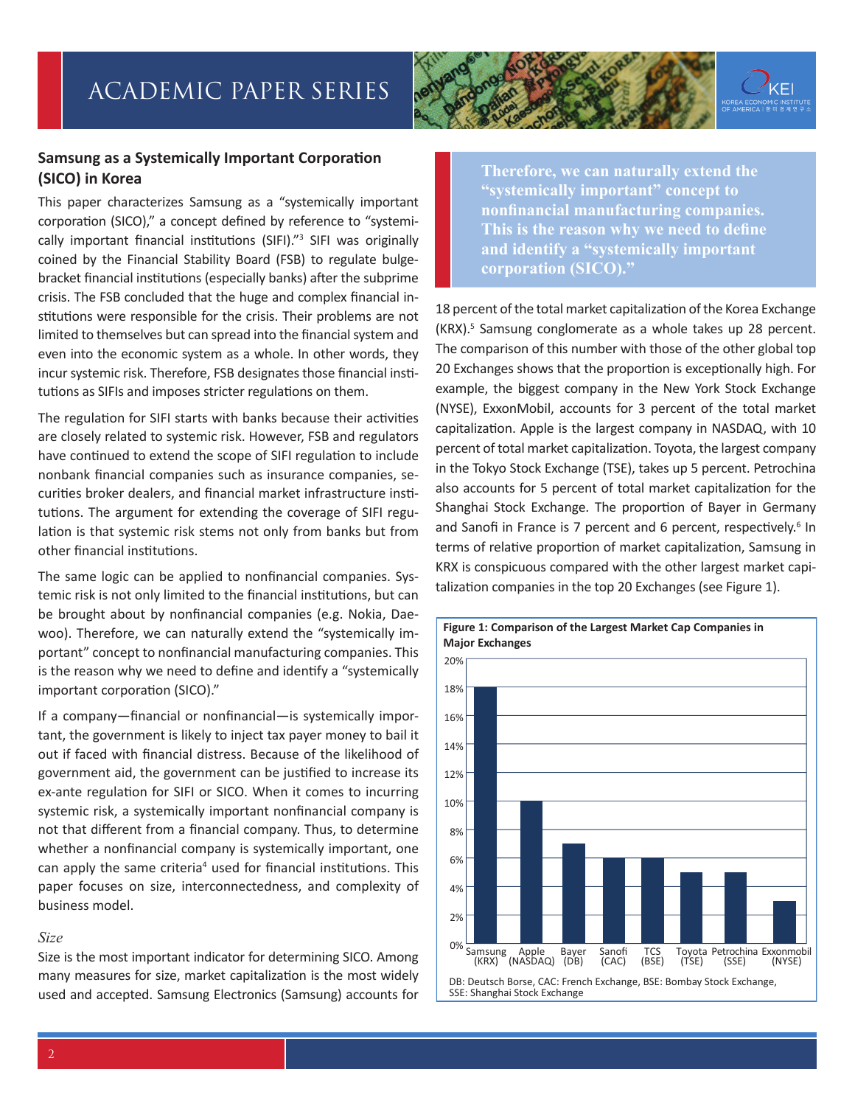

### **Samsung as a Systemically Important Corporation (SICO) in Korea**

This paper characterizes Samsung as a "systemically important corporation (SICO)," a concept defined by reference to "systemically important financial institutions (SIFI)."<sup>3</sup> SIFI was originally coined by the Financial Stability Board (FSB) to regulate bulgebracket financial institutions (especially banks) after the subprime crisis. The FSB concluded that the huge and complex financial institutions were responsible for the crisis. Their problems are not limited to themselves but can spread into the financial system and even into the economic system as a whole. In other words, they incur systemic risk. Therefore, FSB designates those financial institutions as SIFIs and imposes stricter regulations on them.

The regulation for SIFI starts with banks because their activities are closely related to systemic risk. However, FSB and regulators have continued to extend the scope of SIFI regulation to include nonbank financial companies such as insurance companies, securities broker dealers, and financial market infrastructure institutions. The argument for extending the coverage of SIFI regulation is that systemic risk stems not only from banks but from other financial institutions.

The same logic can be applied to nonfinancial companies. Systemic risk is not only limited to the financial institutions, but can be brought about by nonfinancial companies (e.g. Nokia, Daewoo). Therefore, we can naturally extend the "systemically important" concept to nonfinancial manufacturing companies. This is the reason why we need to define and identify a "systemically important corporation (SICO)."

If a company—financial or nonfinancial—is systemically important, the government is likely to inject tax payer money to bail it out if faced with financial distress. Because of the likelihood of government aid, the government can be justified to increase its ex-ante regulation for SIFI or SICO. When it comes to incurring systemic risk, a systemically important nonfinancial company is not that different from a financial company. Thus, to determine whether a nonfinancial company is systemically important, one can apply the same criteria<sup>4</sup> used for financial institutions. This paper focuses on size, interconnectedness, and complexity of business model.

### *Size*

Size is the most important indicator for determining SICO. Among many measures for size, market capitalization is the most widely used and accepted. Samsung Electronics (Samsung) accounts for

**Therefore, we can naturally extend the "systemically important" concept to nonfinancial manufacturing companies. This is the reason why we need to define and identify a "systemically important corporation (SICO)."**

18 percent of the total market capitalization of the Korea Exchange (KRX).<sup>5</sup> Samsung conglomerate as a whole takes up 28 percent. The comparison of this number with those of the other global top 20 Exchanges shows that the proportion is exceptionally high. For example, the biggest company in the New York Stock Exchange (NYSE), ExxonMobil, accounts for 3 percent of the total market capitalization. Apple is the largest company in NASDAQ, with 10 percent of total market capitalization. Toyota, the largest company in the Tokyo Stock Exchange (TSE), takes up 5 percent. Petrochina also accounts for 5 percent of total market capitalization for the Shanghai Stock Exchange. The proportion of Bayer in Germany and Sanofi in France is 7 percent and 6 percent, respectively.<sup>6</sup> In terms of relative proportion of market capitalization, Samsung in KRX is conspicuous compared with the other largest market capitalization companies in the top 20 Exchanges (see Figure 1).

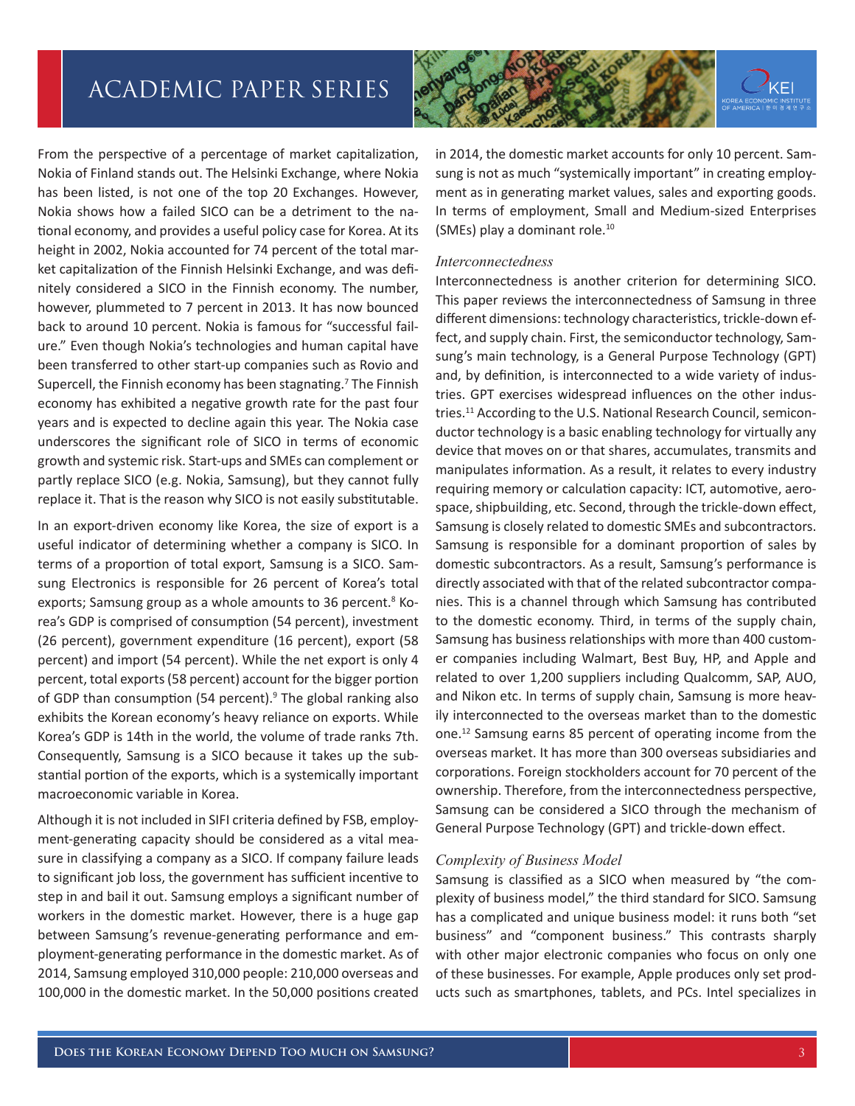

From the perspective of a percentage of market capitalization, Nokia of Finland stands out. The Helsinki Exchange, where Nokia has been listed, is not one of the top 20 Exchanges. However, Nokia shows how a failed SICO can be a detriment to the national economy, and provides a useful policy case for Korea. At its height in 2002, Nokia accounted for 74 percent of the total market capitalization of the Finnish Helsinki Exchange, and was definitely considered a SICO in the Finnish economy. The number, however, plummeted to 7 percent in 2013. It has now bounced back to around 10 percent. Nokia is famous for "successful failure." Even though Nokia's technologies and human capital have been transferred to other start-up companies such as Rovio and Supercell, the Finnish economy has been stagnating.<sup>7</sup> The Finnish economy has exhibited a negative growth rate for the past four years and is expected to decline again this year. The Nokia case underscores the significant role of SICO in terms of economic growth and systemic risk. Start-ups and SMEs can complement or partly replace SICO (e.g. Nokia, Samsung), but they cannot fully replace it. That is the reason why SICO is not easily substitutable.

In an export-driven economy like Korea, the size of export is a useful indicator of determining whether a company is SICO. In terms of a proportion of total export, Samsung is a SICO. Samsung Electronics is responsible for 26 percent of Korea's total exports; Samsung group as a whole amounts to 36 percent.<sup>8</sup> Korea's GDP is comprised of consumption (54 percent), investment (26 percent), government expenditure (16 percent), export (58 percent) and import (54 percent). While the net export is only 4 percent, total exports (58 percent) account for the bigger portion of GDP than consumption (54 percent).<sup>9</sup> The global ranking also exhibits the Korean economy's heavy reliance on exports. While Korea's GDP is 14th in the world, the volume of trade ranks 7th. Consequently, Samsung is a SICO because it takes up the substantial portion of the exports, which is a systemically important macroeconomic variable in Korea.

Although it is not included in SIFI criteria defined by FSB, employment-generating capacity should be considered as a vital measure in classifying a company as a SICO. If company failure leads to significant job loss, the government has sufficient incentive to step in and bail it out. Samsung employs a significant number of workers in the domestic market. However, there is a huge gap between Samsung's revenue-generating performance and employment-generating performance in the domestic market. As of 2014, Samsung employed 310,000 people: 210,000 overseas and 100,000 in the domestic market. In the 50,000 positions created

in 2014, the domestic market accounts for only 10 percent. Samsung is not as much "systemically important" in creating employment as in generating market values, sales and exporting goods. In terms of employment, Small and Medium-sized Enterprises (SMEs) play a dominant role.10

#### *Interconnectedness*

Interconnectedness is another criterion for determining SICO. This paper reviews the interconnectedness of Samsung in three different dimensions: technology characteristics, trickle-down effect, and supply chain. First, the semiconductor technology, Samsung's main technology, is a General Purpose Technology (GPT) and, by definition, is interconnected to a wide variety of industries. GPT exercises widespread influences on the other industries.<sup>11</sup> According to the U.S. National Research Council, semiconductor technology is a basic enabling technology for virtually any device that moves on or that shares, accumulates, transmits and manipulates information. As a result, it relates to every industry requiring memory or calculation capacity: ICT, automotive, aerospace, shipbuilding, etc. Second, through the trickle-down effect, Samsung is closely related to domestic SMEs and subcontractors. Samsung is responsible for a dominant proportion of sales by domestic subcontractors. As a result, Samsung's performance is directly associated with that of the related subcontractor companies. This is a channel through which Samsung has contributed to the domestic economy. Third, in terms of the supply chain, Samsung has business relationships with more than 400 customer companies including Walmart, Best Buy, HP, and Apple and related to over 1,200 suppliers including Qualcomm, SAP, AUO, and Nikon etc. In terms of supply chain, Samsung is more heavily interconnected to the overseas market than to the domestic one.12 Samsung earns 85 percent of operating income from the overseas market. It has more than 300 overseas subsidiaries and corporations. Foreign stockholders account for 70 percent of the ownership. Therefore, from the interconnectedness perspective, Samsung can be considered a SICO through the mechanism of General Purpose Technology (GPT) and trickle-down effect.

### *Complexity of Business Model*

Samsung is classified as a SICO when measured by "the complexity of business model," the third standard for SICO. Samsung has a complicated and unique business model: it runs both "set business" and "component business." This contrasts sharply with other major electronic companies who focus on only one of these businesses. For example, Apple produces only set products such as smartphones, tablets, and PCs. Intel specializes in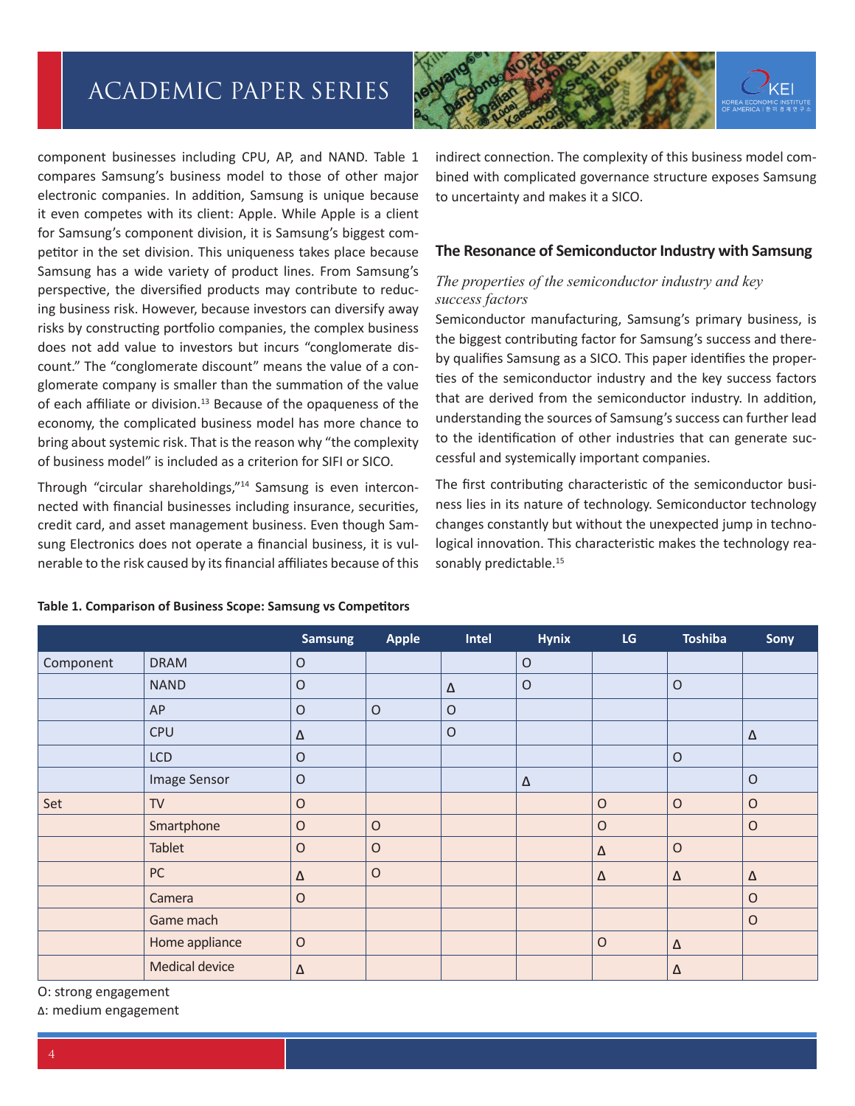

component businesses including CPU, AP, and NAND. Table 1 compares Samsung's business model to those of other major electronic companies. In addition, Samsung is unique because it even competes with its client: Apple. While Apple is a client for Samsung's component division, it is Samsung's biggest competitor in the set division. This uniqueness takes place because Samsung has a wide variety of product lines. From Samsung's perspective, the diversified products may contribute to reducing business risk. However, because investors can diversify away risks by constructing portfolio companies, the complex business does not add value to investors but incurs "conglomerate discount." The "conglomerate discount" means the value of a conglomerate company is smaller than the summation of the value of each affiliate or division.<sup>13</sup> Because of the opaqueness of the economy, the complicated business model has more chance to bring about systemic risk. That is the reason why "the complexity of business model" is included as a criterion for SIFI or SICO.

Through "circular shareholdings,"14 Samsung is even interconnected with financial businesses including insurance, securities, credit card, and asset management business. Even though Samsung Electronics does not operate a financial business, it is vulnerable to the risk caused by its financial affiliates because of this indirect connection. The complexity of this business model combined with complicated governance structure exposes Samsung to uncertainty and makes it a SICO.

#### **The Resonance of Semiconductor Industry with Samsung**

### *The properties of the semiconductor industry and key success factors*

Semiconductor manufacturing, Samsung's primary business, is the biggest contributing factor for Samsung's success and thereby qualifies Samsung as a SICO. This paper identifies the properties of the semiconductor industry and the key success factors that are derived from the semiconductor industry. In addition, understanding the sources of Samsung's success can further lead to the identification of other industries that can generate successful and systemically important companies.

The first contributing characteristic of the semiconductor business lies in its nature of technology. Semiconductor technology changes constantly but without the unexpected jump in technological innovation. This characteristic makes the technology reasonably predictable.<sup>15</sup>

|           |                | <b>Samsung</b> | <b>Apple</b> | <b>Intel</b> | <b>Hynix</b> | LG          | <b>Toshiba</b> | Sony     |
|-----------|----------------|----------------|--------------|--------------|--------------|-------------|----------------|----------|
| Component | <b>DRAM</b>    | $\mathsf O$    |              |              | $\circ$      |             |                |          |
|           | <b>NAND</b>    | $\mathsf O$    |              | $\Delta$     | $\circ$      |             | $\circ$        |          |
|           | AP             | $\mathsf O$    | $\mathsf O$  | $\mathsf O$  |              |             |                |          |
|           | <b>CPU</b>     | Δ              |              | $\circ$      |              |             |                | $\Delta$ |
|           | <b>LCD</b>     | $\mathsf O$    |              |              |              |             | $\circ$        |          |
|           | Image Sensor   | $\mathsf O$    |              |              | Δ            |             |                | $\circ$  |
| Set       | <b>TV</b>      | $\mathsf O$    |              |              |              | $\mathsf O$ | $\circ$        | $\circ$  |
|           | Smartphone     | O              | $\mathsf O$  |              |              | $\circ$     |                | $\circ$  |
|           | Tablet         | O              | $\circ$      |              |              | Δ           | $\circ$        |          |
|           | PC             | $\Delta$       | $\circ$      |              |              | $\Delta$    | $\Delta$       | $\Delta$ |
|           | Camera         | $\mathsf O$    |              |              |              |             |                | $\circ$  |
|           | Game mach      |                |              |              |              |             |                | $\circ$  |
|           | Home appliance | $\mathsf O$    |              |              |              | $\circ$     | $\Delta$       |          |
|           | Medical device | $\Delta$       |              |              |              |             | Δ              |          |

#### **Table 1. Comparison of Business Scope: Samsung vs Competitors**

O: strong engagement

�: medium engagement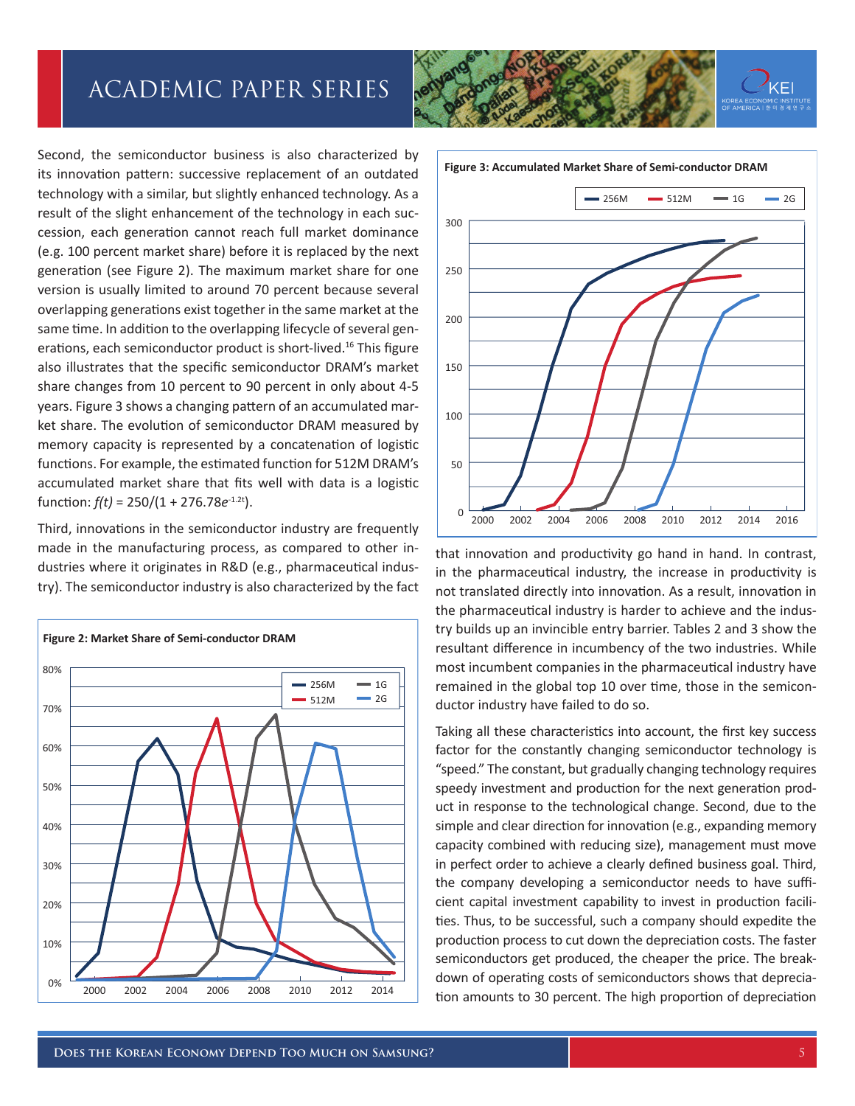Second, the semiconductor business is also characterized by its innovation pattern: successive replacement of an outdated technology with a similar, but slightly enhanced technology. As a result of the slight enhancement of the technology in each succession, each generation cannot reach full market dominance (e.g. 100 percent market share) before it is replaced by the next generation (see Figure 2). The maximum market share for one version is usually limited to around 70 percent because several overlapping generations exist together in the same market at the same time. In addition to the overlapping lifecycle of several generations, each semiconductor product is short-lived.<sup>16</sup> This figure also illustrates that the specific semiconductor DRAM's market share changes from 10 percent to 90 percent in only about 4-5 years. Figure 3 shows a changing pattern of an accumulated market share. The evolution of semiconductor DRAM measured by memory capacity is represented by a concatenation of logistic functions. For example, the estimated function for 512M DRAM's accumulated market share that fits well with data is a logistic function: *f(t)* = 250/(1 + 276.78*e*-1.2t).

Third, innovations in the semiconductor industry are frequently made in the manufacturing process, as compared to other industries where it originates in R&D (e.g., pharmaceutical industry). The semiconductor industry is also characterized by the fact







that innovation and productivity go hand in hand. In contrast, in the pharmaceutical industry, the increase in productivity is not translated directly into innovation. As a result, innovation in the pharmaceutical industry is harder to achieve and the industry builds up an invincible entry barrier. Tables 2 and 3 show the resultant difference in incumbency of the two industries. While most incumbent companies in the pharmaceutical industry have remained in the global top 10 over time, those in the semiconductor industry have failed to do so.

Taking all these characteristics into account, the first key success factor for the constantly changing semiconductor technology is "speed." The constant, but gradually changing technology requires speedy investment and production for the next generation product in response to the technological change. Second, due to the simple and clear direction for innovation (e.g., expanding memory capacity combined with reducing size), management must move in perfect order to achieve a clearly defined business goal. Third, the company developing a semiconductor needs to have sufficient capital investment capability to invest in production facilities. Thus, to be successful, such a company should expedite the production process to cut down the depreciation costs. The faster semiconductors get produced, the cheaper the price. The breakdown of operating costs of semiconductors shows that depreciation amounts to 30 percent. The high proportion of depreciation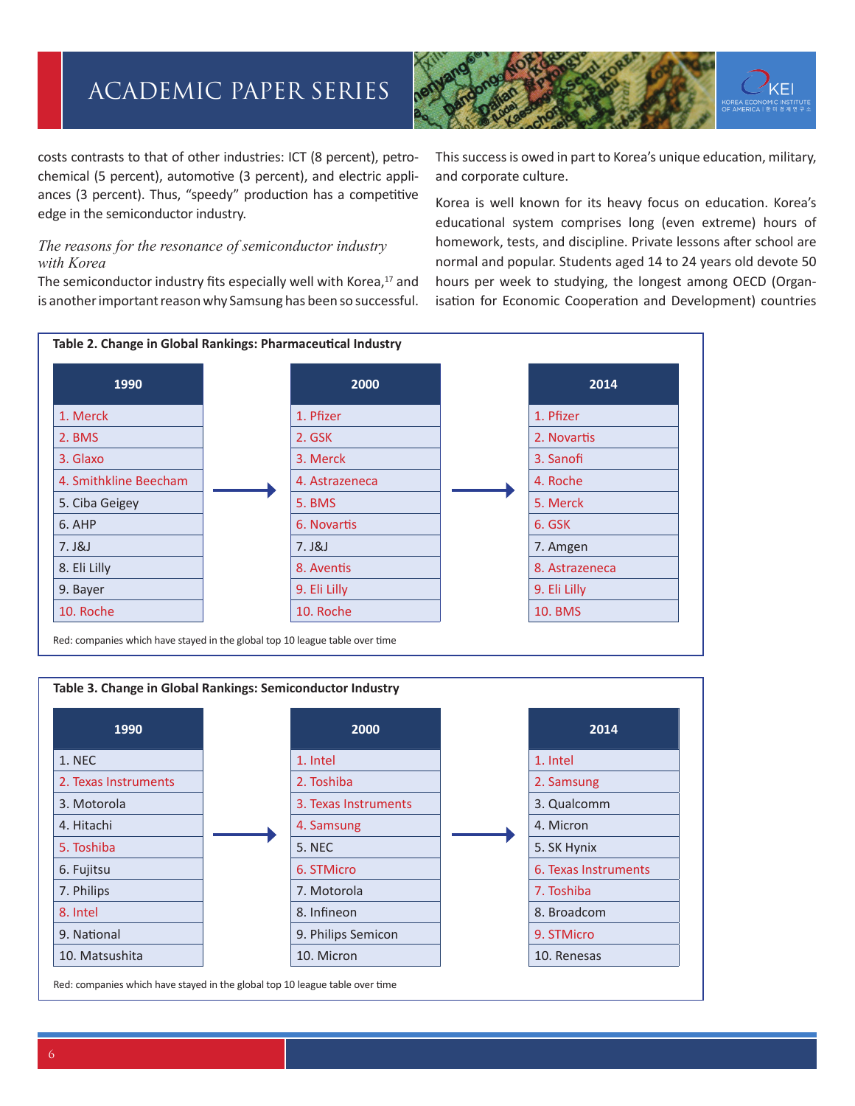

costs contrasts to that of other industries: ICT (8 percent), petrochemical (5 percent), automotive (3 percent), and electric appliances (3 percent). Thus, "speedy" production has a competitive edge in the semiconductor industry.

### *The reasons for the resonance of semiconductor industry with Korea*

The semiconductor industry fits especially well with Korea,<sup>17</sup> and is another important reason why Samsung has been so successful. This success is owed in part to Korea's unique education, military, and corporate culture.

Korea is well known for its heavy focus on education. Korea's educational system comprises long (even extreme) hours of homework, tests, and discipline. Private lessons after school are normal and popular. Students aged 14 to 24 years old devote 50 hours per week to studying, the longest among OECD (Organisation for Economic Cooperation and Development) countries



Red: companies which have stayed in the global top 10 league table over time

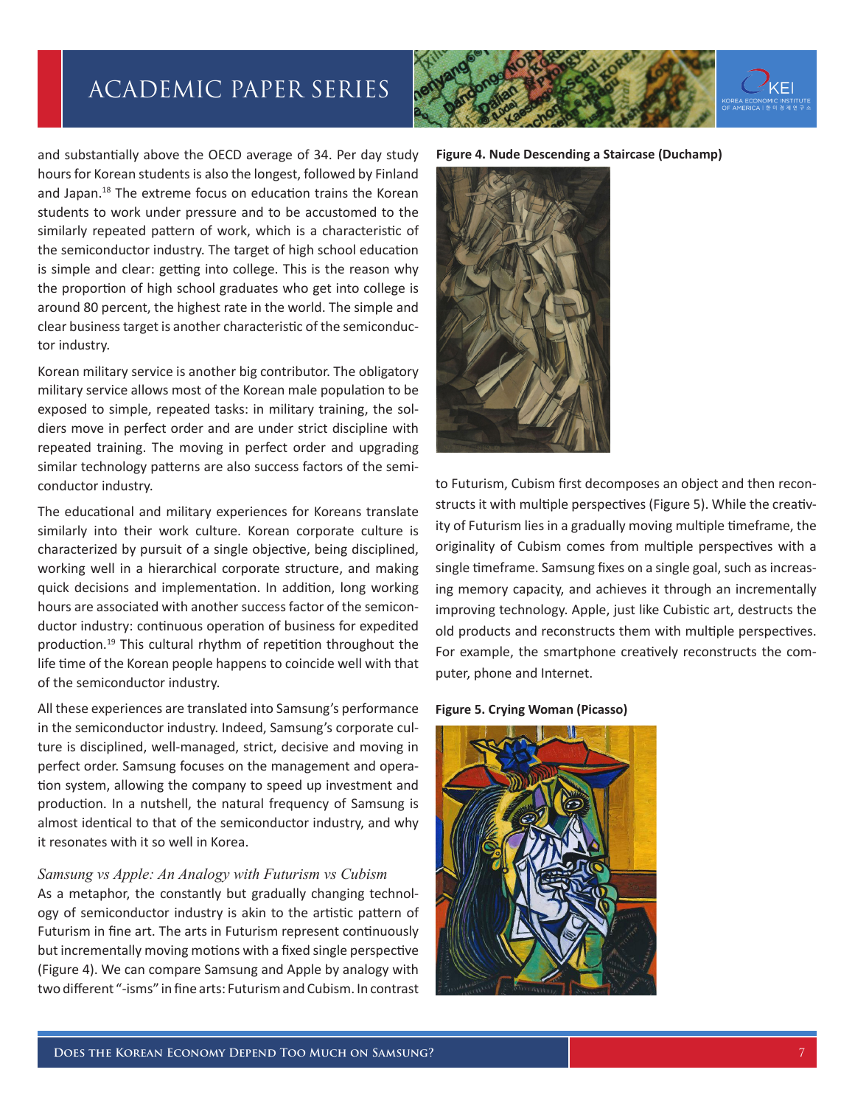and substantially above the OECD average of 34. Per day study hours for Korean students is also the longest, followed by Finland and Japan.<sup>18</sup> The extreme focus on education trains the Korean students to work under pressure and to be accustomed to the similarly repeated pattern of work, which is a characteristic of the semiconductor industry. The target of high school education is simple and clear: getting into college. This is the reason why the proportion of high school graduates who get into college is around 80 percent, the highest rate in the world. The simple and clear business target is another characteristic of the semiconductor industry.

Korean military service is another big contributor. The obligatory military service allows most of the Korean male population to be exposed to simple, repeated tasks: in military training, the soldiers move in perfect order and are under strict discipline with repeated training. The moving in perfect order and upgrading similar technology patterns are also success factors of the semiconductor industry.

The educational and military experiences for Koreans translate similarly into their work culture. Korean corporate culture is characterized by pursuit of a single objective, being disciplined, working well in a hierarchical corporate structure, and making quick decisions and implementation. In addition, long working hours are associated with another success factor of the semiconductor industry: continuous operation of business for expedited production.19 This cultural rhythm of repetition throughout the life time of the Korean people happens to coincide well with that of the semiconductor industry.

All these experiences are translated into Samsung's performance in the semiconductor industry. Indeed, Samsung's corporate culture is disciplined, well-managed, strict, decisive and moving in perfect order. Samsung focuses on the management and operation system, allowing the company to speed up investment and production. In a nutshell, the natural frequency of Samsung is almost identical to that of the semiconductor industry, and why it resonates with it so well in Korea.

#### *Samsung vs Apple: An Analogy with Futurism vs Cubism*

As a metaphor, the constantly but gradually changing technology of semiconductor industry is akin to the artistic pattern of Futurism in fine art. The arts in Futurism represent continuously but incrementally moving motions with a fixed single perspective (Figure 4). We can compare Samsung and Apple by analogy with two different "-isms" in fine arts: Futurism and Cubism. In contrast



**Figure 4. Nude Descending a Staircase (Duchamp)**



to Futurism, Cubism first decomposes an object and then reconstructs it with multiple perspectives (Figure 5). While the creativity of Futurism lies in a gradually moving multiple timeframe, the originality of Cubism comes from multiple perspectives with a single timeframe. Samsung fixes on a single goal, such as increasing memory capacity, and achieves it through an incrementally improving technology. Apple, just like Cubistic art, destructs the old products and reconstructs them with multiple perspectives. For example, the smartphone creatively reconstructs the computer, phone and Internet.

#### **Figure 5. Crying Woman (Picasso)**



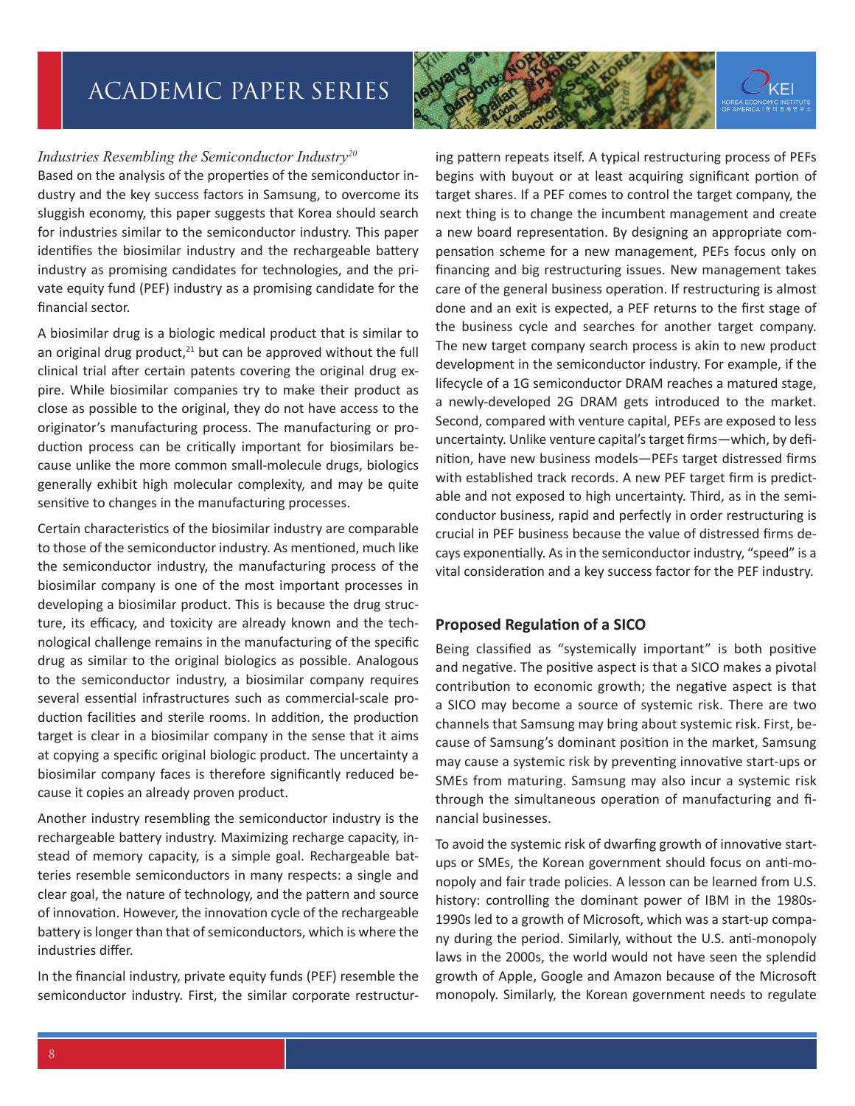

### *Industries Resembling the Semiconductor Industry20*

Based on the analysis of the properties of the semiconductor industry and the key success factors in Samsung, to overcome its sluggish economy, this paper suggests that Korea should search for industries similar to the semiconductor industry. This paper identifies the biosimilar industry and the rechargeable battery industry as promising candidates for technologies, and the private equity fund (PEF) industry as a promising candidate for the financial sector.

A biosimilar drug is a biologic medical product that is similar to an original drug product, $21$  but can be approved without the full clinical trial after certain patents covering the original drug expire. While biosimilar companies try to make their product as close as possible to the original, they do not have access to the originator's manufacturing process. The manufacturing or production process can be critically important for biosimilars because unlike the more common small-molecule drugs, biologics generally exhibit high molecular complexity, and may be quite sensitive to changes in the manufacturing processes.

Certain characteristics of the biosimilar industry are comparable to those of the semiconductor industry. As mentioned, much like the semiconductor industry, the manufacturing process of the biosimilar company is one of the most important processes in developing a biosimilar product. This is because the drug structure, its efficacy, and toxicity are already known and the technological challenge remains in the manufacturing of the specific drug as similar to the original biologics as possible. Analogous to the semiconductor industry, a biosimilar company requires several essential infrastructures such as commercial-scale production facilities and sterile rooms. In addition, the production target is clear in a biosimilar company in the sense that it aims at copying a specific original biologic product. The uncertainty a biosimilar company faces is therefore significantly reduced because it copies an already proven product.

Another industry resembling the semiconductor industry is the rechargeable battery industry. Maximizing recharge capacity, instead of memory capacity, is a simple goal. Rechargeable batteries resemble semiconductors in many respects: a single and clear goal, the nature of technology, and the pattern and source of innovation. However, the innovation cycle of the rechargeable battery is longer than that of semiconductors, which is where the industries differ.

In the financial industry, private equity funds (PEF) resemble the semiconductor industry. First, the similar corporate restructuring pattern repeats itself. A typical restructuring process of PEFs begins with buyout or at least acquiring significant portion of target shares. If a PEF comes to control the target company, the next thing is to change the incumbent management and create a new board representation. By designing an appropriate compensation scheme for a new management, PEFs focus only on financing and big restructuring issues. New management takes care of the general business operation. If restructuring is almost done and an exit is expected, a PEF returns to the first stage of the business cycle and searches for another target company. The new target company search process is akin to new product development in the semiconductor industry. For example, if the lifecycle of a 1G semiconductor DRAM reaches a matured stage, a newly-developed 2G DRAM gets introduced to the market. Second, compared with venture capital, PEFs are exposed to less uncertainty. Unlike venture capital's target firms—which, by definition, have new business models—PEFs target distressed firms with established track records. A new PEF target firm is predictable and not exposed to high uncertainty. Third, as in the semiconductor business, rapid and perfectly in order restructuring is crucial in PEF business because the value of distressed firms decays exponentially. As in the semiconductor industry, "speed" is a vital consideration and a key success factor for the PEF industry.

### **Proposed Regulation of a SICO**

Being classified as "systemically important" is both positive and negative. The positive aspect is that a SICO makes a pivotal contribution to economic growth; the negative aspect is that a SICO may become a source of systemic risk. There are two channels that Samsung may bring about systemic risk. First, because of Samsung's dominant position in the market, Samsung may cause a systemic risk by preventing innovative start-ups or SMEs from maturing. Samsung may also incur a systemic risk through the simultaneous operation of manufacturing and financial businesses.

To avoid the systemic risk of dwarfing growth of innovative startups or SMEs, the Korean government should focus on anti-monopoly and fair trade policies. A lesson can be learned from U.S. history: controlling the dominant power of IBM in the 1980s-1990s led to a growth of Microsoft, which was a start-up company during the period. Similarly, without the U.S. anti-monopoly laws in the 2000s, the world would not have seen the splendid growth of Apple, Google and Amazon because of the Microsoft monopoly. Similarly, the Korean government needs to regulate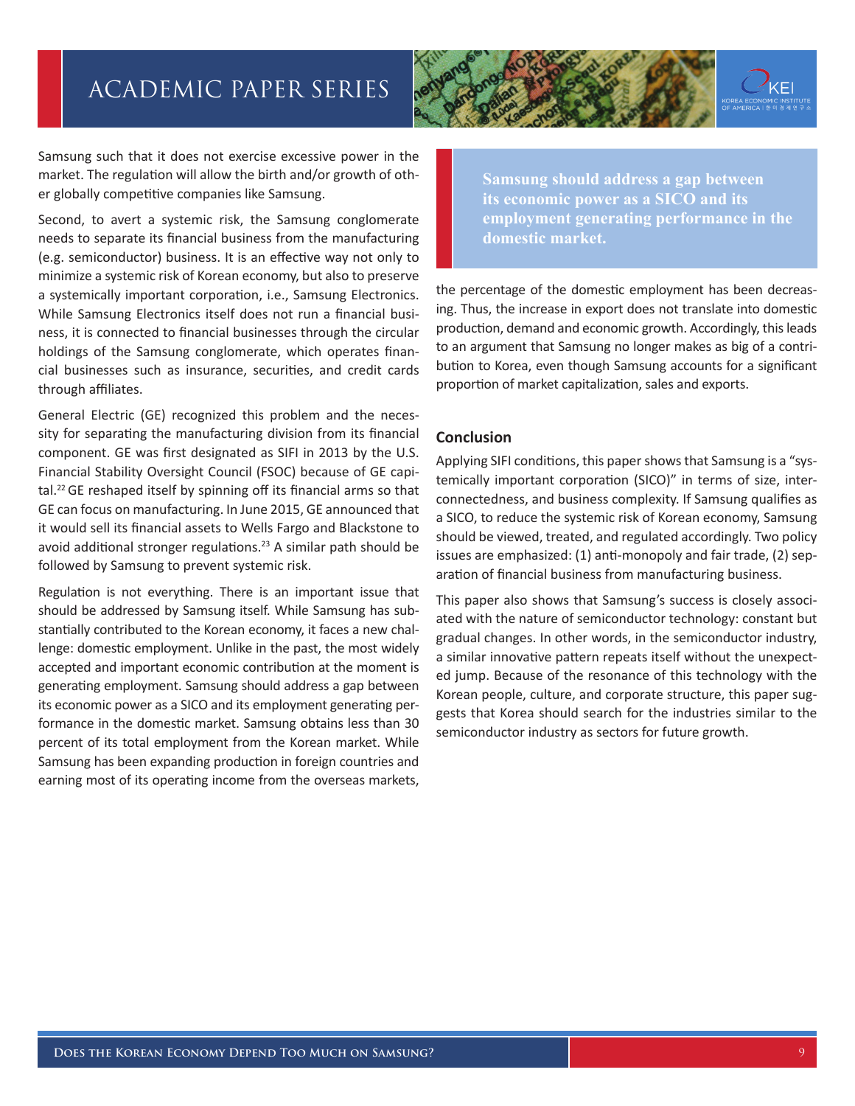Samsung such that it does not exercise excessive power in the market. The regulation will allow the birth and/or growth of other globally competitive companies like Samsung.

Second, to avert a systemic risk, the Samsung conglomerate needs to separate its financial business from the manufacturing (e.g. semiconductor) business. It is an effective way not only to minimize a systemic risk of Korean economy, but also to preserve a systemically important corporation, i.e., Samsung Electronics. While Samsung Electronics itself does not run a financial business, it is connected to financial businesses through the circular holdings of the Samsung conglomerate, which operates financial businesses such as insurance, securities, and credit cards through affiliates.

General Electric (GE) recognized this problem and the necessity for separating the manufacturing division from its financial component. GE was first designated as SIFI in 2013 by the U.S. Financial Stability Oversight Council (FSOC) because of GE capital.<sup>22</sup> GE reshaped itself by spinning off its financial arms so that GE can focus on manufacturing. In June 2015, GE announced that it would sell its financial assets to Wells Fargo and Blackstone to avoid additional stronger regulations.<sup>23</sup> A similar path should be followed by Samsung to prevent systemic risk.

Regulation is not everything. There is an important issue that should be addressed by Samsung itself. While Samsung has substantially contributed to the Korean economy, it faces a new challenge: domestic employment. Unlike in the past, the most widely accepted and important economic contribution at the moment is generating employment. Samsung should address a gap between its economic power as a SICO and its employment generating performance in the domestic market. Samsung obtains less than 30 percent of its total employment from the Korean market. While Samsung has been expanding production in foreign countries and earning most of its operating income from the overseas markets,

**Samsung should address a gap between its economic power as a SICO and its employment generating performance in the domestic market.**

the percentage of the domestic employment has been decreasing. Thus, the increase in export does not translate into domestic production, demand and economic growth. Accordingly, this leads to an argument that Samsung no longer makes as big of a contribution to Korea, even though Samsung accounts for a significant proportion of market capitalization, sales and exports.

### **Conclusion**

Applying SIFI conditions, this paper shows that Samsung is a "systemically important corporation (SICO)" in terms of size, interconnectedness, and business complexity. If Samsung qualifies as a SICO, to reduce the systemic risk of Korean economy, Samsung should be viewed, treated, and regulated accordingly. Two policy issues are emphasized: (1) anti-monopoly and fair trade, (2) separation of financial business from manufacturing business.

This paper also shows that Samsung's success is closely associated with the nature of semiconductor technology: constant but gradual changes. In other words, in the semiconductor industry, a similar innovative pattern repeats itself without the unexpected jump. Because of the resonance of this technology with the Korean people, culture, and corporate structure, this paper suggests that Korea should search for the industries similar to the semiconductor industry as sectors for future growth.

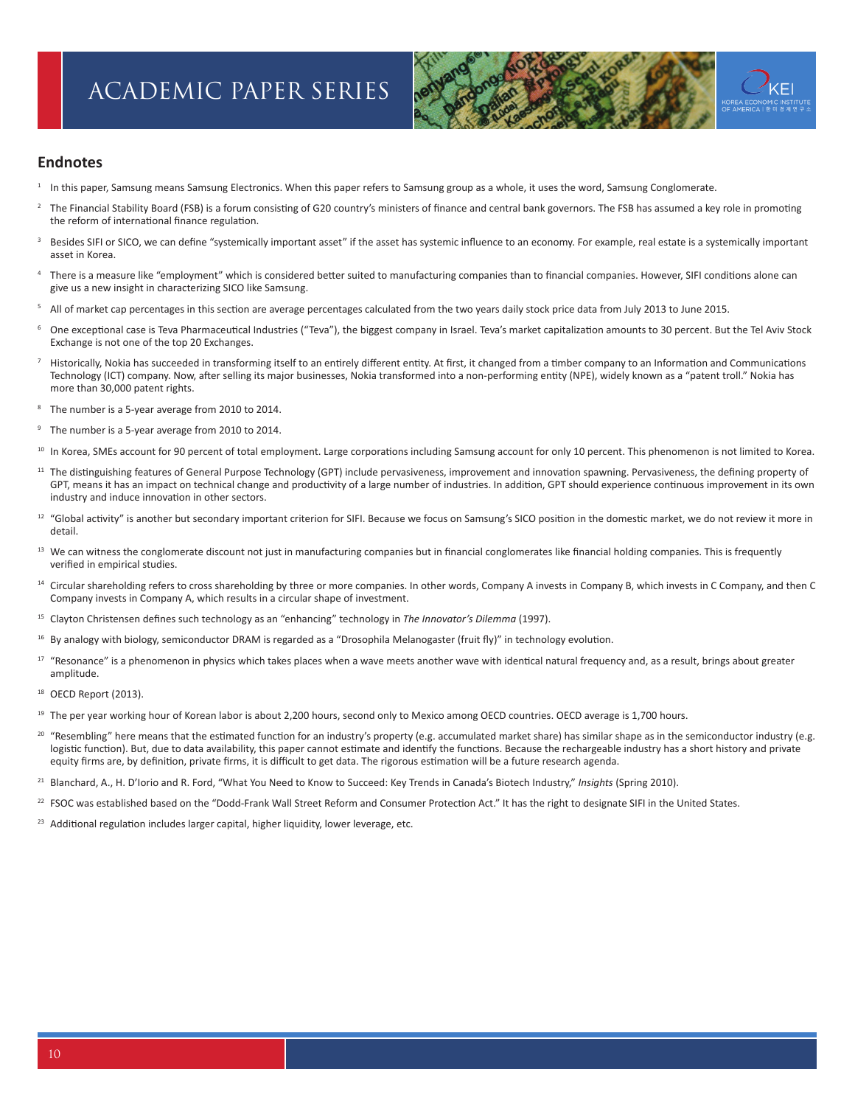

#### **Endnotes**

- <sup>1</sup> In this paper, Samsung means Samsung Electronics. When this paper refers to Samsung group as a whole, it uses the word, Samsung Conglomerate.
- <sup>2</sup> The Financial Stability Board (FSB) is a forum consisting of G20 country's ministers of finance and central bank governors. The FSB has assumed a key role in promoting the reform of international finance regulation.
- Besides SIFI or SICO, we can define "systemically important asset" if the asset has systemic influence to an economy. For example, real estate is a systemically important asset in Korea.
- There is a measure like "employment" which is considered better suited to manufacturing companies than to financial companies. However, SIFI conditions alone can give us a new insight in characterizing SICO like Samsung.
- All of market cap percentages in this section are average percentages calculated from the two years daily stock price data from July 2013 to June 2015.
- <sup>6</sup> One exceptional case is Teva Pharmaceutical Industries ("Teva"), the biggest company in Israel. Teva's market capitalization amounts to 30 percent. But the Tel Aviv Stock Exchange is not one of the top 20 Exchanges.
- Historically, Nokia has succeeded in transforming itself to an entirely different entity. At first, it changed from a timber company to an Information and Communications Technology (ICT) company. Now, after selling its major businesses, Nokia transformed into a non-performing entity (NPE), widely known as a "patent troll." Nokia has more than 30,000 patent rights.
- The number is a 5-year average from 2010 to 2014.
- <sup>9</sup> The number is a 5-year average from 2010 to 2014.
- <sup>10</sup> In Korea, SMEs account for 90 percent of total employment. Large corporations including Samsung account for only 10 percent. This phenomenon is not limited to Korea.
- <sup>11</sup> The distinguishing features of General Purpose Technology (GPT) include pervasiveness, improvement and innovation spawning. Pervasiveness, the defining property of GPT, means it has an impact on technical change and productivity of a large number of industries. In addition, GPT should experience continuous improvement in its own industry and induce innovation in other sectors.
- <sup>12</sup> "Global activity" is another but secondary important criterion for SIFI. Because we focus on Samsung's SICO position in the domestic market, we do not review it more in detail.
- <sup>13</sup> We can witness the conglomerate discount not just in manufacturing companies but in financial conglomerates like financial holding companies. This is frequently verified in empirical studies.
- <sup>14</sup> Circular shareholding refers to cross shareholding by three or more companies. In other words, Company A invests in Company B, which invests in C Company, and then C Company invests in Company A, which results in a circular shape of investment.
- <sup>15</sup> Clayton Christensen defines such technology as an "enhancing" technology in *The Innovator's Dilemma* (1997).
- <sup>16</sup> By analogy with biology, semiconductor DRAM is regarded as a "Drosophila Melanogaster (fruit fly)" in technology evolution.
- <sup>17</sup> "Resonance" is a phenomenon in physics which takes places when a wave meets another wave with identical natural frequency and, as a result, brings about greater amplitude.
- <sup>18</sup> OECD Report (2013).
- <sup>19</sup> The per year working hour of Korean labor is about 2,200 hours, second only to Mexico among OECD countries. OECD average is 1,700 hours.
- <sup>20</sup> "Resembling" here means that the estimated function for an industry's property (e.g. accumulated market share) has similar shape as in the semiconductor industry (e.g. logistic function). But, due to data availability, this paper cannot estimate and identify the functions. Because the rechargeable industry has a short history and private equity firms are, by definition, private firms, it is difficult to get data. The rigorous estimation will be a future research agenda.
- <sup>21</sup> Blanchard, A., H. D'Iorio and R. Ford, "What You Need to Know to Succeed: Key Trends in Canada's Biotech Industry," *Insights* (Spring 2010).
- $^{22}$  FSOC was established based on the "Dodd-Frank Wall Street Reform and Consumer Protection Act." It has the right to designate SIFI in the United States.
- <sup>23</sup> Additional regulation includes larger capital, higher liquidity, lower leverage, etc.